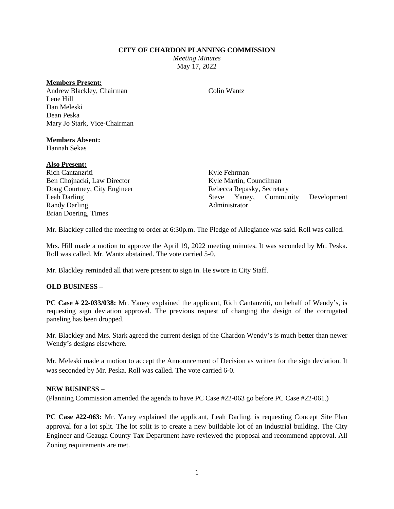### **CITY OF CHARDON PLANNING COMMISSION**

*Meeting Minutes* May 17, 2022

## **Members Present:**

Andrew Blackley, Chairman Lene Hill Dan Meleski Dean Peska Mary Jo Stark, Vice-Chairman

### **Members Absent:**

Hannah Sekas

### **Also Present:**

Rich Cantanzriti Ben Chojnacki, Law Director Doug Courtney, City Engineer Leah Darling Randy Darling Brian Doering, Times

Kyle Fehrman Kyle Martin, Councilman Rebecca Repasky, Secretary Steve Yaney, Community Development Administrator

Mr. Blackley called the meeting to order at 6:30p.m. The Pledge of Allegiance was said. Roll was called.

Mrs. Hill made a motion to approve the April 19, 2022 meeting minutes. It was seconded by Mr. Peska. Roll was called. Mr. Wantz abstained. The vote carried 5-0.

Mr. Blackley reminded all that were present to sign in. He swore in City Staff.

## **OLD BUSINESS –**

**PC Case # 22-033/038:** Mr. Yaney explained the applicant, Rich Cantanzriti, on behalf of Wendy's, is requesting sign deviation approval. The previous request of changing the design of the corrugated paneling has been dropped.

Mr. Blackley and Mrs. Stark agreed the current design of the Chardon Wendy's is much better than newer Wendy's designs elsewhere.

Mr. Meleski made a motion to accept the Announcement of Decision as written for the sign deviation. It was seconded by Mr. Peska. Roll was called. The vote carried 6-0.

### **NEW BUSINESS –**

(Planning Commission amended the agenda to have PC Case #22-063 go before PC Case #22-061.)

**PC Case #22-063:** Mr. Yaney explained the applicant, Leah Darling, is requesting Concept Site Plan approval for a lot split. The lot split is to create a new buildable lot of an industrial building. The City Engineer and Geauga County Tax Department have reviewed the proposal and recommend approval. All Zoning requirements are met.

## Colin Wantz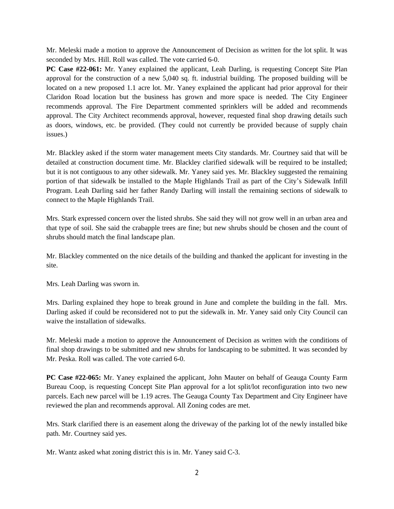Mr. Meleski made a motion to approve the Announcement of Decision as written for the lot split. It was seconded by Mrs. Hill. Roll was called. The vote carried 6-0.

**PC Case #22-061:** Mr. Yaney explained the applicant, Leah Darling, is requesting Concept Site Plan approval for the construction of a new 5,040 sq. ft. industrial building. The proposed building will be located on a new proposed 1.1 acre lot. Mr. Yaney explained the applicant had prior approval for their Claridon Road location but the business has grown and more space is needed. The City Engineer recommends approval. The Fire Department commented sprinklers will be added and recommends approval. The City Architect recommends approval, however, requested final shop drawing details such as doors, windows, etc. be provided. (They could not currently be provided because of supply chain issues.)

Mr. Blackley asked if the storm water management meets City standards. Mr. Courtney said that will be detailed at construction document time. Mr. Blackley clarified sidewalk will be required to be installed; but it is not contiguous to any other sidewalk. Mr. Yaney said yes. Mr. Blackley suggested the remaining portion of that sidewalk be installed to the Maple Highlands Trail as part of the City's Sidewalk Infill Program. Leah Darling said her father Randy Darling will install the remaining sections of sidewalk to connect to the Maple Highlands Trail.

Mrs. Stark expressed concern over the listed shrubs. She said they will not grow well in an urban area and that type of soil. She said the crabapple trees are fine; but new shrubs should be chosen and the count of shrubs should match the final landscape plan.

Mr. Blackley commented on the nice details of the building and thanked the applicant for investing in the site.

Mrs. Leah Darling was sworn in.

Mrs. Darling explained they hope to break ground in June and complete the building in the fall. Mrs. Darling asked if could be reconsidered not to put the sidewalk in. Mr. Yaney said only City Council can waive the installation of sidewalks.

Mr. Meleski made a motion to approve the Announcement of Decision as written with the conditions of final shop drawings to be submitted and new shrubs for landscaping to be submitted. It was seconded by Mr. Peska. Roll was called. The vote carried 6-0.

**PC Case #22-065:** Mr. Yaney explained the applicant, John Mauter on behalf of Geauga County Farm Bureau Coop, is requesting Concept Site Plan approval for a lot split/lot reconfiguration into two new parcels. Each new parcel will be 1.19 acres. The Geauga County Tax Department and City Engineer have reviewed the plan and recommends approval. All Zoning codes are met.

Mrs. Stark clarified there is an easement along the driveway of the parking lot of the newly installed bike path. Mr. Courtney said yes.

Mr. Wantz asked what zoning district this is in. Mr. Yaney said C-3.